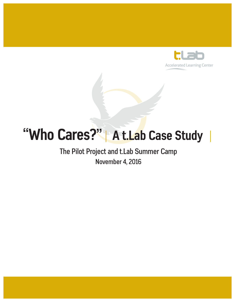

# **"Who Cares?"**| **A t.Lab Case Study** |

### The Pilot Project and t.Lab Summer Camp November 4, 2016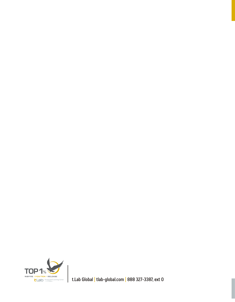

t.Lab Global | tlab-global.com | 888 327-3387, ext 0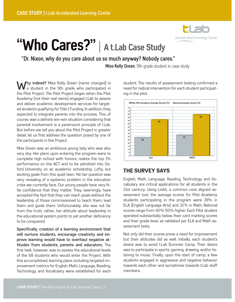

## **"Who Cares?"** | **A t.Lab Case Study**

#### "Dr. Nixon, why do you care about us so much anyway? Nobody cares."

Miss Kelly Green, 9th grade student in case study

**Why indeed?** Miss Kelly Green (name changed) is a student in the 9th grade who participated in the Pilot Project. The Pilot Project began when the Pilot Academy (not their real name) engaged t.Lab to assess and deliver academic development services for targeted students qualifying for Title 1 Funding. In addition, they expected to integrate parents into the process. This, of course, was a definite win-win situation considering that parental involvement is a paramount principle of t.Lab. But before we tell you about the Pilot Project in greater detail, let us first address the question posed by one of the participants in the Project.

Miss Green was an ambitious young lady who was also very shy. Her plans upon entering the program were to complete high school with honors, realize the top 1% performance on the ACT and to be admitted into Oxford University on an academic scholarship. Lofty, but exciting goals from this quiet teen. Yet her question was very revealing of a systemic problem in the education crisis we currently face. Our young people have very little confidence that they matter. They, seemingly, have accepted the fact that they can reach goals without the leadership of those commissioned to teach them, lead them and guide them. Unfortunately, she was not far from the truth, rather, her attitude about leadership in the educational system points to yet another deficiency to be conquered.

**Specifically, creation of a learning environment that will nurture students, encourage creativity and improve learning would have to overhaul negative attitudes from students, parents and educators.** The first task, however, was to assess the educational levels of the 68 students who would enter the Project. With this accomplished, learning plans, including targeted improvement metrics for English, Math, Language, Reading, Technology, and Vocabulary were established for each

student. The results of assessment testing confirmed a need for radical intervention for each student participating in the pilot.



#### THE SURVEY SAYS

English, Math, Language, Reading, Technology and Vocabulary are critical applications for all students in the 21st century. Using Linkit, a common core aligned assessment tool, the average scores for Pilot Academy students participating in the program were 28% in ELA (English Language Arts) and 32% in Math. National scores range from 40%-50% higher. Each Pilot student operated substantially below their card marking scores and their grade level, as validated per ELA and Math assessment tests.

Not only did their scores prove a need for improvement but their attitudes did as well. Initially, each student's desire was to avoid t.Lab Summer Camp. Their desire was to participate in sports, gaming, drawing, and/or listening to music. Finally, upon the start of camp, a few students engaged in aggressive and negative behavior towards each other and sometimes towards t.Lab staff members.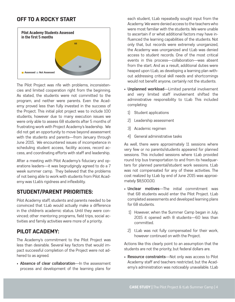#### OFF TO A ROCKY START



The Pilot Project was rife with problems, inconsistencies and limited cooperation right from the beginning. As stated, the students were not committed to the program, and neither were parents. Even the Academy proved less than fully invested in the success of the Project. This initial pilot project was to include 100 students, however due to many execution issues we were only able to assess 68 students after 5 months of frustrating work with Project Academy's leadership. We did not get an opportunity to move beyond assessment with the students and parents—from January through June 2015. We encountered issues of incompetence in scheduling student access, facility access, record access, and coordinating efforts with staff and leadership.

After a meeting with Pilot Academy's fiduciary and operations leaders—it was begrudgingly agreed to do a 7 week summer camp. They believed that the problems of not being able to work with students from Pilot Academy was t.Lab's rigidness and inflexibility.

#### STUDENT/PARENT PRIORITIES:

Pilot Academy staff, students and parents needed to be convinced that t.Lab would actually make a difference in the children's academic status. Until they were convinced; other mentoring programs, field trips, social activities and family activities were more of a priority.

#### PILOT ACADEMY:

The Academy's commitment to the Pilot Project was less than desirable. Several key factors that would impact successful completion of the Project were not adhered to as agreed.

• **Absence of clear collaboration**—In the assessment process and development of the learning plans for

each student, t.Lab repeatedly sought input from the Academy. We were denied access to the teachers who were most familiar with the students. We were unable to ascertain if or what additional factors may have influenced the learning capabilities of the students. Not only that, but records were extremely unorganized, the Academy was unorganized and t.Lab was denied access to student records. One of the most critical events in this process—collaboration—was absent from the start. And as a result, additional duties were heaped upon t.Lab, as developing a learning plan without addressing critical skill needs and shortcomings would not benefit anyone, certainly not the students.

- **Unplanned workload**—Limited parental involvement and very limited staff involvement shifted the administrative responsibility to t.Lab This included completing:
	- 1) Student applications
	- 2) Leadership assessment
	- 3) Academic regimen
	- 4) General administrative tasks

As well, there were approximately 11 sessions where very few or no parents/students appeared for planned sessions. This included sessions where t.Lab provided round trip bus transportation to and from its headquarters for planned parental/student work sessions. t.Lab was not compensated for any of these activities. The cost realized by t.Lab by end of June 2015 was approximately \$8,500.00.

- **Unclear motives**—The initial commitment was that 68 students would enter the Pilot Project. t.Lab completed assessments and developed learning plans for 68 students.
	- 1) However, when the Summer Camp began in July, 2015 it opened with 8 students—60 less than committed.
	- 2) t.Lab was not fully compensated for their work, however continued on with the Project.

Actions like this clearly point to an assumption that the students are not the priority, but federal dollars are.

• **Resource constraints**—Not only was access to Pilot Academy staff and teachers restricted, but the Academy's administration was noticeably unavailable. t.Lab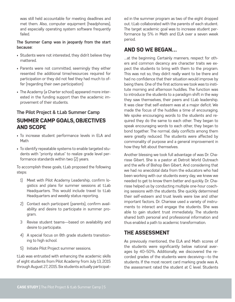was still held accountable for meeting deadlines and met them. Also, computer equipment (headphones), and especially operating system software frequently failed.

#### **The Summer Camp was in jeopardy from the start because:**

- Students were not interested, they didn't believe they mattered.
- Parents were not committed, seemingly they either resented the additional time/resources required for participation or they did not feel they had much to offer (regarding their own participation)
- The Academy (a Charter school) appeared more interested in the funding support than the academic improvement of their students.

#### **The Pilot Project & t.Lab Summer Camp**  SUMMER CAMP GOALS, OBJECTIVES AND SCOPE

- To increase student performance levels in ELA and Math
- To identify repeatable systems to enable targeted students with "priority status" to realize grade level performance standards within two (2) years.

To accomplish these goals, t.Lab proposed the following steps:

- 1) Meet with Pilot Academy Leadership, confirm logistics and plans for summer sessions at t.Lab Headquarters. This would include travel to t.Lab Headquarters and weekly status reporting.
- 2) Contact each participant (parents), confirm availability and desire to participate in summer program.
- 3 Revise student teams—based on availability and desire to participate.
- 4) A special focus on 8th grade students transitioning to high school.
- 5) Initiate Pilot Project summer sessions.

t.Lab was entrusted with enhancing the academic skills of eight students from Pilot Academy from July 13, 2015 through August 27, 2015. Six students actually participated in the summer program as two of the eight dropped out. t.Lab collaborated with the parents of each student. The target academic goal was to increase student performance by 5% in Math and ELA over a seven week period.

#### AND SO WE BEGAN…

…at the beginning. Certainly manners, respect for others and common decency are character traits we expect the students to bring with them to the program. This was not so, they didn't really want to be there and had no confidence that their situation would improve by being there. One of the first actions we took was to institute morning and afternoon huddles. The function was to introduce the students to a paradigm shift in the way they saw themselves, their peers and t.Lab leadership. It was clear that self-esteem was at a major deficit. We made the focus of the huddles a time of encouraging. We spoke encouraging words to the students and required they do the same to each other. They began to speak encouraging words to each other, they began to bond together. The normal, daily conflicts among them were greatly reduced. The students were affected by commonality of purpose and a general improvement in how they felt about themselves.

Another blessing we took full advantage of was Dr. Charisse Gibert. She is a pastor at Detroit World Outreach and the wife of Bishop Ben Gibert. And considering that we had no anecdotal data from the educators who had been working with our students every day, we knew we needed to get to know them better and quickly. Dr. Charisse helped us by conducting multiple one-hour coaching sessions with the students. She quickly determined their self-esteem and trust levels were low and other important factors. Dr. Charisse used a variety of instruments to interact and engage the students. She was able to gain student trust immediately. The students shared both personal and professional information and thus enabled a path to academic transformation.

#### THE ASSESSMENT

As previously mentioned, the ELA and Math scores of the students were significantly below national averages by 40–50%. Additionally, we discovered the recorded grades of the students were deceiving—to the students. If the most recent card marking grade was A. the assessment rated the student at C level. Students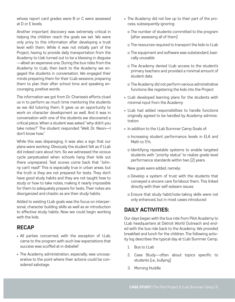whose report card grades were B or C were assessed at D or E levels.

Another important discovery was extremely critical in helping the children reach the goals we set. We were only privy to this information after developing a trust level with them. While it was not initially part of the Project, having to provide daily transportation from the Academy to t.lab turned out to be a blessing in disguise —albeit an expensive one. During the bus rides from the Academy to t.Lab, then back to the Academy we engaged the students in conversation. We engaged their minds preparing them for their t.Lab sessions; preparing them to plan their after school time and speaking encouraging, positive words.

The information we got from Dr. Charisse's efforts clued us in to perform as much time mentoring the students as we did tutoring them. It gave us an opportunity to work on character development as well. And it was in conversation with one of the students we discovered a critical piece. When a student was asked "why didn't you take notes?" The student responded "Well, Dr. Nixon—I don't know how."

While this was disparaging, it was also a sign that our plans were working. Obviously the student felt as if t.Lab did indeed care about him. So we witnessed the vicious cycle perpetuated when schools hang their kids out there unprepared. Test scores come back that "Johnny can't read!" This is especially true in urban areas, but the truth is they are not prepared for tests. They don't have good study habits and they are not taught how to study or how to take notes, making it nearly impossible for them to adequately prepare for tests. Their notes are disorganized and chaotic as are their study habits.

Added to existing t.Lab goals was the focus on interpersonal, character building skills as well as an introduction to effective study habits. Now we could begin working with the kids.

#### RECAP

- All parties concerned, with the exception of t.Lab, came to the program with such low expectations that success was scoffed at in disbelief
- The Academy administration, especially, was uncooperative to the point where their actions could be considered sabotage.
- The Academy did not live up to their part of the process, subsequently ignoring:
	- o The number of students committed to the program (after assessing all of them)
	- o The resources required to transport the kids to t.Lab
	- o The equipment and software was substandard, basically unusable
	- o The Academy denied t.Lab access to the student's primary teachers and provided a minimal amount of student data
	- o The Academy did not perform various administrative functions like registering the kids into the Project
- t.Lab developed learning plans for the students with minimal input from the Academy
- t.Lab had added responsibilities to handle functions originally agreed to be handled by Academy administration
- In addition to the t.Lab Summer Camp Goals of:
	- o Increasing student performance levels in ELA and Math to 5%.
	- o Identifying repeatable systems to enable targeted students with "priority status" to realize grade level performance standards within two (2) years.

New goals were added, namely:

- o Develop a system of trust with the students that conveyed a sincere care for/about them. This linked directly with their self-esteem issues
- o Ensure that study habit/note-taking skills were not only enhanced, but in most cases introduced

#### DAILY ACTIVITIES:

Our days began with the bus ride from Pilot Academy to t.Lab headquarters at Detroit World Outreach and ended with the bus ride back to the Academy. We provided breakfast and lunch for the children. The following activity log describes the typical day at t.Lab Summer Camp.

- 1. Bus to thab
- 2. Case Study—often about topics specific to students (i.e., bullying)
- 3. Morning Huddle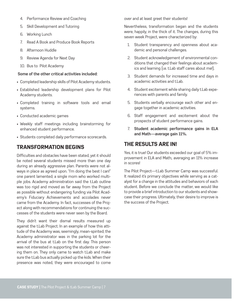- 4. Performance Review and Coaching
- 5. Skill Development and Tutoring
- 6. Working Lunch
- 7. Read A Book and Produce Book Reports
- 8. Afternoon Huddle
- 9. Review Agenda for Next Day
- 10. Bus to Pilot Academy

#### **Some of the other critical activities included:**

- Completed leadership skills of Pilot Academy students.
- Established leadership development plans for Pilot Academy students.
- Completed training in software tools and email systems.
- Conducted academic games
- Weekly staff meetings including brainstorming for enhanced student performance.
- Students completed daily performance scorecards.

#### TRANSFORMATION BEGINS

Difficulties and obstacles have been stated, yet it should be noted several students missed more than one day during an already aggressive plan. Parents were not always in place as agreed upon. "I'm doing the best I can!" one parent lamented; a single mom who worked multiple jobs. Academy administration said the t.Lab outline was too rigid and moved as far away from the Project as possible without endangering funding via Pilot Academy's Fiduciary Achievements and accolades never came from the Academy. In fact, successes of the Project along with recommendations for continuing the successes of the students were never seen by the Board.

They didn't want their dismal results measured up against the t.Lab Project. In an example of how this attitude of the Academy was, seemingly, mean-spirited; the Academy administrator was in the parking lot for the arrival of the bus at t.Lab on the first day. This person was not interested in supporting the students or cheering them on. They only came to watch t.Lab and make sure the t.Lab bus actually picked up the kids. When their presence was noted, they were encouraged to come

over and at least greet their students!

Nevertheless, transformation began and the students were, happily, in the thick of it. The changes, during this seven week Project, were characterized by:

- 1. Student transparency and openness about academic and personal challenges.
- 2. Student acknowledgement of environmental conditions that changed their feelings about academics and learning (i.e. t.Lab staff cares about me!).
- 3. Student demands for increased time and days in academic activities and t.Lab.
- 4. Student excitement while sharing daily t.Lab experiences with parents and family.
- 5. Students verbally encourage each other and engage together in academic activities.
- 6. Staff engagement and excitement about the prospects of student performance gains.
- 7. **Student academic performance gains in ELA and Math—average gain 11%.**

#### THE RESULTS ARE IN!

Yes, it is true! Our students exceeded our goal of 5% improvement in ELA and Math;. averaging an 11% increase in scores!

The Pilot Project—t.Lab Summer Camp was successful. It realized it's primary objectives while serving as a catalyst for a change in the attitudes and behaviors of each student. Before we conclude the matter, we would like to provide a brief introduction to our students and showcase their progress. Ultimately, their desire to improve is the success of the Project.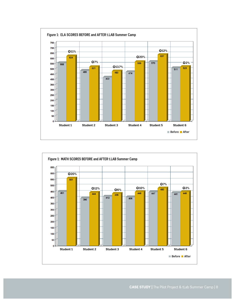

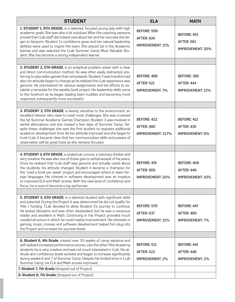| <b>STUDENT</b>                                                                                                                                                                                                                                                                                                                                                                                                                                                                                                                                                                         | <b>ELA</b>                                                           | <b>MATH</b>                                                        |
|----------------------------------------------------------------------------------------------------------------------------------------------------------------------------------------------------------------------------------------------------------------------------------------------------------------------------------------------------------------------------------------------------------------------------------------------------------------------------------------------------------------------------------------------------------------------------------------|----------------------------------------------------------------------|--------------------------------------------------------------------|
| 1. STUDENT 1, 9TH GRADE, is a talented, focused young lady with high<br>academic goals. She was also a bit subdued. After the coaching sessions<br>proved that t.Lab staff did indeed care about her and her success she be-<br>gan to blossom. Student 1's confidence grew and her natural leadership<br>abilities were used to inspire the team. She placed 1st in the Academic<br>Games and was selected the t.Lab Summer Camp Most Valuable Stu-<br>dent. She has become a strong independent learner.                                                                             | <b>BEFORE: 558</b><br><b>AFTER: 624</b><br><b>IMPROVEMENT: 11%</b>   | <b>BEFORE: 451</b><br><b>AFTER: 561</b><br><b>IMPROVEMENT: 20%</b> |
|                                                                                                                                                                                                                                                                                                                                                                                                                                                                                                                                                                                        |                                                                      |                                                                    |
| 2. STUDENT 2, 5TH GRADE, is an analytical problem solver with a clear<br>and direct communication method. He was often easily distracted, pre-<br>ferring to play video games than schoolwork. Student 2 was transformed<br>also; his attitude began to change as he realized the t.Lab experience was<br>genuine. He volunteered for various assignments and led efforts to es-<br>tablish a template for the weekly book project. His leadership skills came<br>to the forefront as he began leading team huddles and becoming more<br>organized, subsequently more successful.      | <b>BEFORE: 486</b><br><b>AFTER: 521</b><br><b>IMPROVEMENT: 7%</b>    | <b>BEFORE: 396</b><br><b>AFTER: 444</b><br><b>IMPROVEMENT: 12%</b> |
|                                                                                                                                                                                                                                                                                                                                                                                                                                                                                                                                                                                        |                                                                      |                                                                    |
| 3. STUDENT 3, 5TH GRADE, is keenly sensitive to the environment, an<br>excellent listener who rises to meet most challenges. She was crowned<br>the 1st Summer Academic Games Champion. Student 3 was involved in<br>verbal altercations and she missed a few days of Summer Camp. De-<br>spite these challenges she was the first student to requests additional<br>academic development time. As her attitude improved and she began to<br>trust t.Lab, it became clear that her communication skills and powers of<br>observation will be great tools as she remains focused.       | <b>BEFORE: 422</b><br><b>AFTER: 480</b><br><b>IMPROVEMENT: 13.7%</b> | <b>BEFORE: 412</b><br><b>AFTER: 435</b><br><b>IMPROVEMENT: 6%</b>  |
|                                                                                                                                                                                                                                                                                                                                                                                                                                                                                                                                                                                        |                                                                      |                                                                    |
| 4. STUDENT 4, 6TH GRADE, is analytical, curious, a visionary thinker and<br>very creative. He was also one of those give to verbal assault of his peers.<br>Once he realized that t.Lab staff was genuine and actually cared about<br>the students, his attitude changed. Student 4 became a champion for<br>the "read a book per week" project and encouraged others to learn for-<br>eign languages. His interest in software development was an impetus<br>to improved ELA and Math scores. With the new level of confidence and<br>focus, he is sure to become a top performer.    | <b>BEFORE: 474</b><br><b>AFTER: 569</b><br><b>IMPROVEMENT: 20%</b>   | <b>BEFORE: 406</b><br><b>AFTER: 448</b><br><b>IMPROVEMENT: 10%</b> |
|                                                                                                                                                                                                                                                                                                                                                                                                                                                                                                                                                                                        |                                                                      |                                                                    |
| 5. STUDENT 5, 6TH GRADE, is a talented student with significant skills<br>and potential. During the Project it was determined he did not qualify for<br>Title 1 funding. T.Lab decided to allow Student 5's journey to continue.<br>He lacked discipline and was often disobedient but he was a voracious<br>reader and excellent in Math. Continuing in the Project provided much<br>needed structure in which he could realize improvement. His interests in<br>gaming, music, movies, and software development helped him plug into<br>the Project and increase his success levels. | <b>BEFORE: 570</b><br><b>AFTER: 637</b><br><b>IMPROVEMENT: 12%</b>   | <b>BEFORE: 447</b><br><b>AFTER: 480</b><br><b>IMPROVEMENT: 7%</b>  |
|                                                                                                                                                                                                                                                                                                                                                                                                                                                                                                                                                                                        |                                                                      |                                                                    |
| 6. Student 6, 4th Grade, missed over 3.5 weeks of camp sessions and<br>still realized increased performance scores. Like the other Pilot Academy<br>students he is very creative and was not much interested in t.Lab. His at-<br>titude and confidence levels evolved and began to increase significantly<br>during weeks 6 and 7 of Summer Camp. Despite his limited time in t.Lab<br>Summer Camp, his ELA and Math scores improved.<br>7. Student 7, 7th Grade (dropped out of Project)                                                                                             | <b>BEFORE: 511</b><br><b>AFTER: 523</b><br><b>IMPROVEMENT: 2%</b>    | <b>BEFORE: 441</b><br><b>AFTER: 448</b><br><b>IMPROVEMENT: 2%</b>  |
|                                                                                                                                                                                                                                                                                                                                                                                                                                                                                                                                                                                        |                                                                      |                                                                    |
| 8. Student 8, 7th Grade (dropped out of Project)                                                                                                                                                                                                                                                                                                                                                                                                                                                                                                                                       |                                                                      |                                                                    |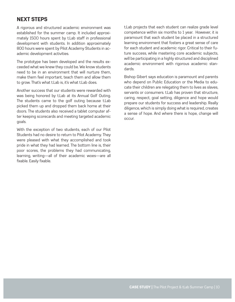#### NEXT STEPS

A rigorous and structured academic environment was established for the summer camp. It included approximately 1500 hours spent by t.Lab staff in professional development with students. In addition approximately 800 hours were spent by Pilot Academy Students in academic development activities.

The prototype has been developed and the results exceeded what we knew they could be. We know students need to be in an environment that will nurture them, make them feel important, teach them and allow them to grow. That's what t.Lab is, it's what t.Lab does.

Another success that our students were rewarded with was being honored by t.Lab at its Annual Golf Outing. The students came to the golf outing because t.Lab picked them up and dropped them back home at their doors. The students also received a tablet computer after keeping scorecards and meeting targeted academic goals.

With the exception of two students, each of our Pilot Students had no desire to return to Pilot Academy. They were pleased with what they accomplished and took pride in what they had learned. The bottom line is, their poor scores, the problems they had communicating, learning, writing—all of their academic woes—are all fixable. Easily fixable.

t.Lab projects that each student can realize grade level competence within six months to 1 year. However, it is paramount that each student be placed in a structured learning environment that fosters a great sense of care for each student and academic rigor. Critical to their future success, while mastering core academic subjects, will be participating in a highly structured and disciplined academic environment with rigorous academic standards.

Bishop Gibert says education is paramount and parents who depend on Public Education or the Media to educate their children are relegating them to lives as slaves, servants or consumers. t.Lab has proven that structure, caring, respect, goal setting, diligence and hope would prepare our students for success and leadership. Really diligence, which is simply doing what is required, creates a sense of hope. And where there is hope, change will occur.